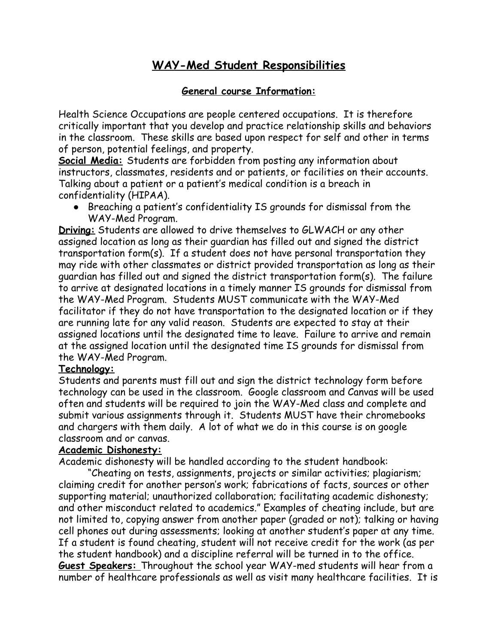# **WAY-Med Student Responsibilities**

# **General course Information:**

Health Science Occupations are people centered occupations. It is therefore critically important that you develop and practice relationship skills and behaviors in the classroom. These skills are based upon respect for self and other in terms of person, potential feelings, and property.

**Social Media:** Students are forbidden from posting any information about instructors, classmates, residents and or patients, or facilities on their accounts. Talking about a patient or a patient's medical condition is a breach in confidentiality (HIPAA).

● Breaching a patient's confidentiality IS grounds for dismissal from the WAY-Med Program.

**Driving:** Students are allowed to drive themselves to GLWACH or any other assigned location as long as their guardian has filled out and signed the district transportation form(s). If a student does not have personal transportation they may ride with other classmates or district provided transportation as long as their guardian has filled out and signed the district transportation form(s). The failure to arrive at designated locations in a timely manner IS grounds for dismissal from the WAY-Med Program. Students MUST communicate with the WAY-Med facilitator if they do not have transportation to the designated location or if they are running late for any valid reason. Students are expected to stay at their assigned locations until the designated time to leave. Failure to arrive and remain at the assigned location until the designated time IS grounds for dismissal from the WAY-Med Program.

### **Technology:**

Students and parents must fill out and sign the district technology form before technology can be used in the classroom. Google classroom and Canvas will be used often and students will be required to join the WAY-Med class and complete and submit various assignments through it. Students MUST have their chromebooks and chargers with them daily. A lot of what we do in this course is on google classroom and or canvas.

### **Academic Dishonesty:**

Academic dishonesty will be handled according to the student handbook:

"Cheating on tests, assignments, projects or similar activities; plagiarism; claiming credit for another person's work; fabrications of facts, sources or other supporting material; unauthorized collaboration; facilitating academic dishonesty; and other misconduct related to academics." Examples of cheating include, but are not limited to, copying answer from another paper (graded or not); talking or having cell phones out during assessments; looking at another student's paper at any time. If a student is found cheating, student will not receive credit for the work (as per the student handbook) and a discipline referral will be turned in to the office. **Guest Speakers:** Throughout the school year WAY-med students will hear from a number of healthcare professionals as well as visit many healthcare facilities. It is